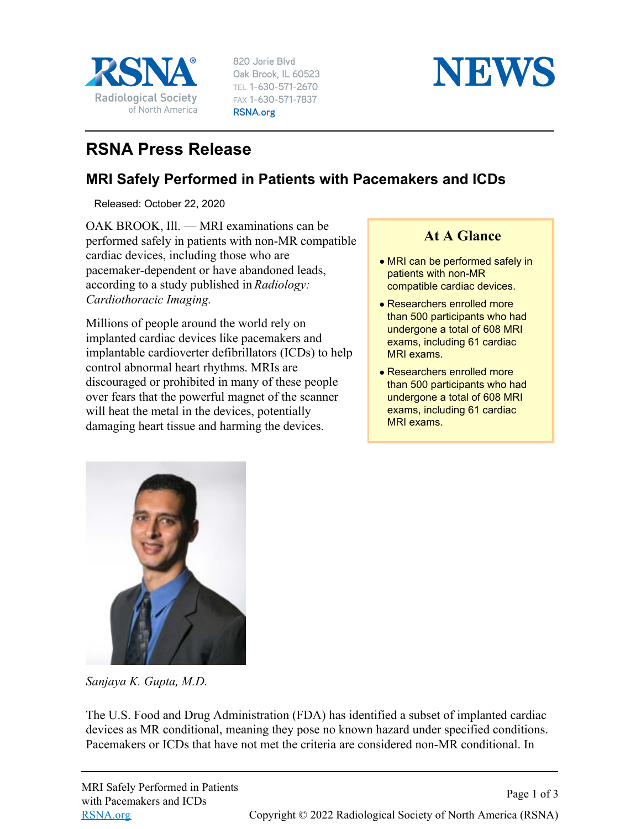

820 Jorie Blvd Oak Brook, IL 60523 TEL 1-630-571-2670 FAX 1-630-571-7837 RSNA.org



## **RSNA Press Release**

## **MRI Safely Performed in Patients with Pacemakers and ICDs**

Released: October 22, 2020

OAK BROOK, Ill. — MRI examinations can be performed safely in patients with non-MR compatible cardiac devices, including those who are pacemaker-dependent or have abandoned leads, according to a study published in *Radiology: Cardiothoracic Imaging.*

Millions of people around the world rely on implanted cardiac devices like pacemakers and implantable cardioverter defibrillators (ICDs) to help control abnormal heart rhythms. MRIs are discouraged or prohibited in many of these people over fears that the powerful magnet of the scanner will heat the metal in the devices, potentially damaging heart tissue and harming the devices.

## **At A Glance**

- MRI can be performed safely in patients with non-MR compatible cardiac devices.
- Researchers enrolled more than 500 participants who had undergone a total of 608 MRI exams, including 61 cardiac MRI exams.
- Researchers enrolled more than 500 participants who had undergone a total of 608 MRI exams, including 61 cardiac MRI exams.



*Sanjaya K. Gupta, M.D.*

The U.S. Food and Drug Administration (FDA) has identified a subset of implanted cardiac devices as MR conditional, meaning they pose no known hazard under specified conditions. Pacemakers or ICDs that have not met the criteria are considered non-MR conditional. In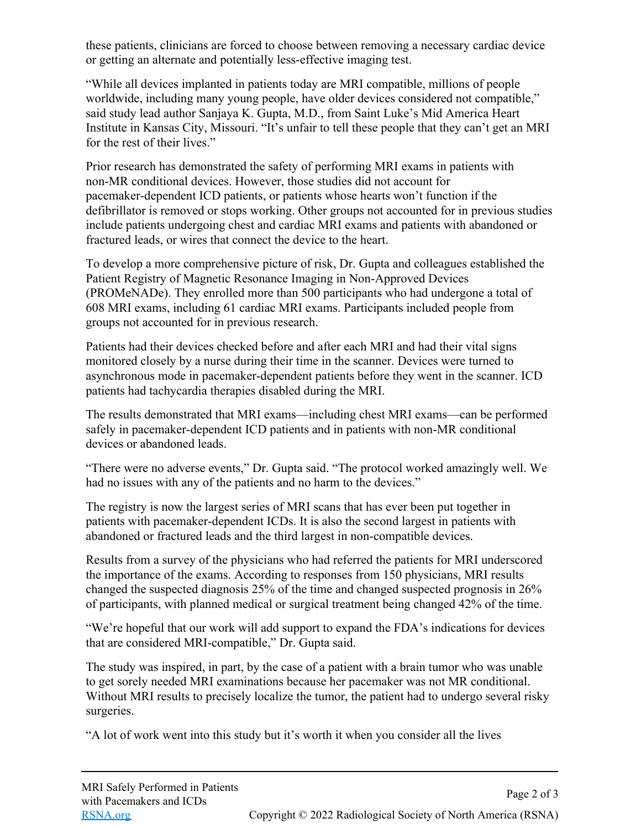these patients, clinicians are forced to choose between removing a necessary cardiac device or getting an alternate and potentially less-effective imaging test.

"While all devices implanted in patients today are MRI compatible, millions of people worldwide, including many young people, have older devices considered not compatible," said study lead author Sanjaya K. Gupta, M.D., from Saint Luke's Mid America Heart Institute in Kansas City, Missouri. "It's unfair to tell these people that they can't get an MRI for the rest of their lives."

Prior research has demonstrated the safety of performing MRI exams in patients with non-MR conditional devices. However, those studies did not account for pacemaker-dependent ICD patients, or patients whose hearts won't function if the defibrillator is removed or stops working. Other groups not accounted for in previous studies include patients undergoing chest and cardiac MRI exams and patients with abandoned or fractured leads, or wires that connect the device to the heart.

To develop a more comprehensive picture of risk, Dr. Gupta and colleagues established the Patient Registry of Magnetic Resonance Imaging in Non-Approved Devices (PROMeNADe). They enrolled more than 500 participants who had undergone a total of 608 MRI exams, including 61 cardiac MRI exams. Participants included people from groups not accounted for in previous research.

Patients had their devices checked before and after each MRI and had their vital signs monitored closely by a nurse during their time in the scanner. Devices were turned to asynchronous mode in pacemaker-dependent patients before they went in the scanner. ICD patients had tachycardia therapies disabled during the MRI.

The results demonstrated that MRI exams—including chest MRI exams—can be performed safely in pacemaker-dependent ICD patients and in patients with non-MR conditional devices or abandoned leads.

"There were no adverse events," Dr. Gupta said. "The protocol worked amazingly well. We had no issues with any of the patients and no harm to the devices."

The registry is now the largest series of MRI scans that has ever been put together in patients with pacemaker-dependent ICDs. It is also the second largest in patients with abandoned or fractured leads and the third largest in non-compatible devices.

Results from a survey of the physicians who had referred the patients for MRI underscored the importance of the exams. According to responses from 150 physicians, MRI results changed the suspected diagnosis 25% of the time and changed suspected prognosis in 26% of participants, with planned medical or surgical treatment being changed 42% of the time.

"We're hopeful that our work will add support to expand the FDA's indications for devices that are considered MRI-compatible," Dr. Gupta said.

The study was inspired, in part, by the case of a patient with a brain tumor who was unable to get sorely needed MRI examinations because her pacemaker was not MR conditional. Without MRI results to precisely localize the tumor, the patient had to undergo several risky surgeries.

"A lot of work went into this study but it's worth it when you consider all the lives